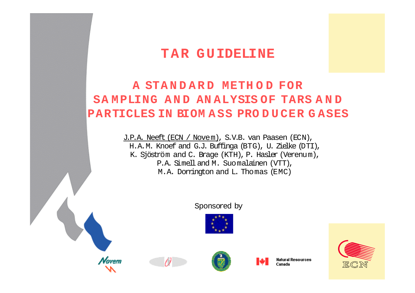### **T A R G U IDELINE**

### **A STA N D A R D METH O D FOR SA M PLING A N D AN ALYSIS OF TARS A N D PARTICLES IN BIOM A SS PRO D U CER G ASES**

J.P.A. Neeft(ECN / Novem), S.V.B. van Paasen (ECN), H.A.M. Knoef and G.J. Buffinga (BTG), U. Zielke (DTI), K. Sjöström and C. Brage (KTH), P. Hasler (Verenum), P.A. Simell and M. Suomalainen (VTT), M.A. Dorrington and L. Thomas (EMC)

#### Sponsored by



**Natural Resources** Canada

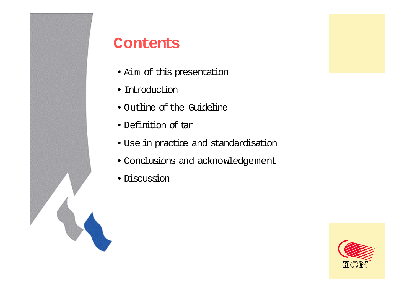### **Contents**

- Aim of this presentation
- Introduction
- Outline of the Guideline
- Definition of tar
- Use in practice and standardisation
- Conclusions and acknowledgement
- Discussion

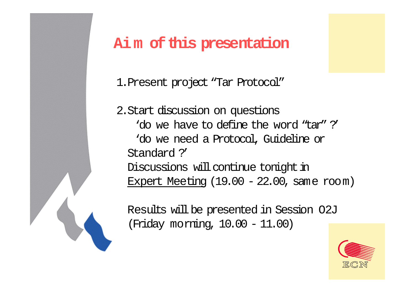## **Aim of this presentation**

1.Present project "Tar Protocol"

2.Start discussion on questions 'do we have to define the word "tar" ?''do we need a Protocol, Guideline or Standard ?'Discussions will continue tonight in Expert Meeting  $(19.00 - 22.00)$ , same room)

Results will be presented in Session O2J (Friday morning, 10.00 - 11.00)

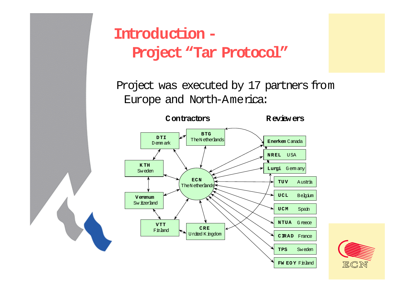

# **Introduction -Project "Tar Protocol"**

Project was executed by 17 partners from Europe and North-America:



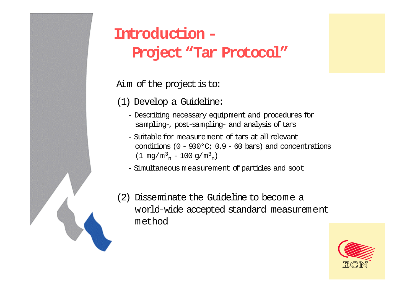# **Introduction -Project "Tar Protocol"**

Aim of the project is to:

(1) Develop a Guideline:

- Describing necessary equipment and procedures for sampling-, post-sampling- and analysis of tars
- Suitable for measurement of tars at allrelevant conditions  $(0 - 900^{\circ}\text{C}; 0.9 - 60 \text{ bars})$  and concentrations (1 mg/m $^3_{\rm n}$  – 100 g/m $^3_{\rm n})$

- Simultaneous measurement of particles and soot



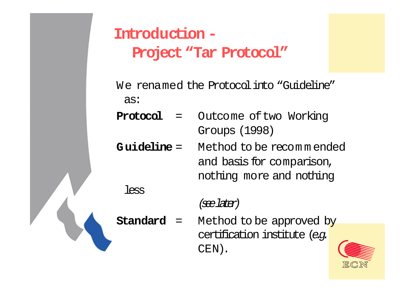

less

# **Introduction -Project "Tar Protocol"**

- We renamed the Protocol into "Guideline" as:
- **Protocol** <sup>=</sup> Outcome oftwo Working Groups (1998)
- **G uideline** <sup>=</sup> Method to be recom <sup>m</sup> ended and basis for comparison, nothing more and nothing

### (see later)

**Standard** <sup>=</sup> Method to be approved by certification institute *(e.g.* CEN).

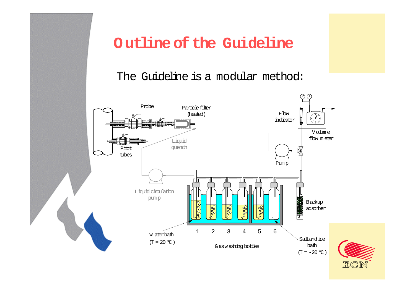### **Outline of the Guideline**

The Guideline is a modular method:

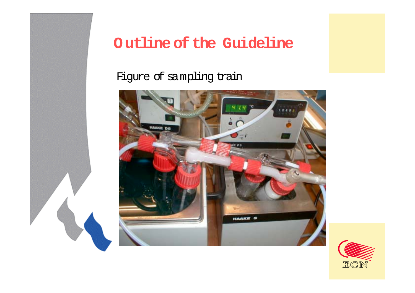

## **Outline of the Guideline**

### Figure of sampling train



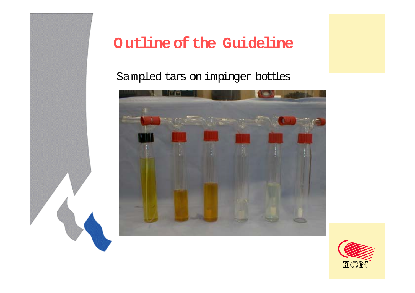

## **Outline of the Guideline**

### Sampled tars on impinger bottles



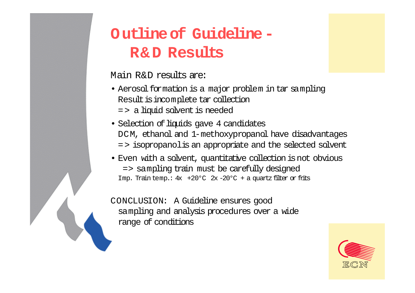# **Outline of Guideline -R& D Results**

Main R&D results are:

- Aerosol formation is a major problem in tar sampling Result is incomplete tar collection = > a liquid solvent is needed
- Selection of liquids gave 4 candidates DCM, ethanol and 1-methoxypropanol have disadvantages = > isopropanolis an appropriate and the selected solvent
- Even with a solvent, quantitative collection isnot obvious => sampling train must be carefully designed Imp. Traintemp.: 4x +20°C 2x-20°C + a quartz filter or frits

CONCLUSION: A Guideline ensures good sampling and analysis procedures over a wide range of conditions

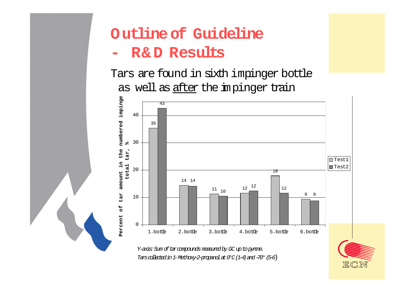

# **Outline of Guideline**

#### **- R& D Results**

Tars are found in sixth impinger bottle as well as after the impinger train



Y-axis: Sum of tarcompounds measured by GC up to pyrene. Tarscollectedin 1-Methoxy-2-propanol at 0°C(1-4)and -70°(5-6)

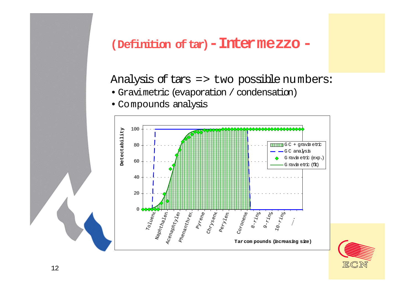### **(Definition oftar)-Intermezzo -**

### Analysis of tars  $\Rightarrow$  two possible numbers:

- Gravimetric (evaporation / condensation)
- Compounds analysis



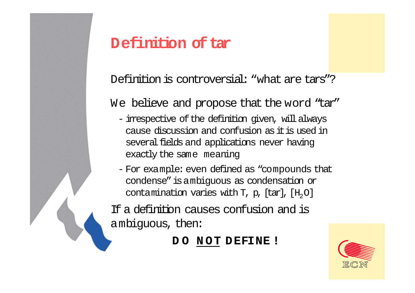## **Definition of tar**

Definition is controversial: "what are tars"?

We believe and propose that the word "tar"

- irrespective of the definition given, will always cause discussion and confusion as it is used in several fields and applications never having exactly the same meaning
- For example: even defined as "compounds that condense" isambiguous as condensation or contamination varies with T, p, [tar], [H $_{\rm 2}$ O]

If a definition causes confusion and is ambiguous, then:

**D O N OT D EFINE !**

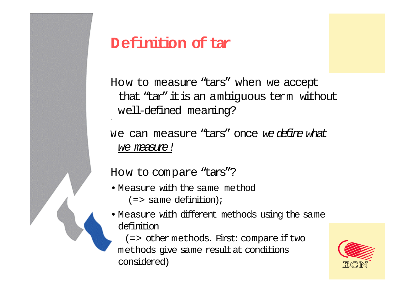

How to measure "tars" when we accept that "tar" itis an ambiguous term without well-defined meaning?

we can measure "tars" once *we defire what* we measure !

How to compare "tars"?

'

- Measure with the same method  $(=$  same definition);
- Measure with different methods using the same definition

(=> other methods. First: compare iftwo methods give same resultat conditions considered)

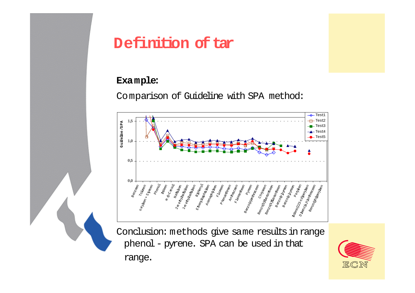

## **Definition oftar**

### **Example:**

Comparison of Guideline with SPA method:



Conclusion: methods give same results in range phenol - pyrene. SPA can be used in that range.

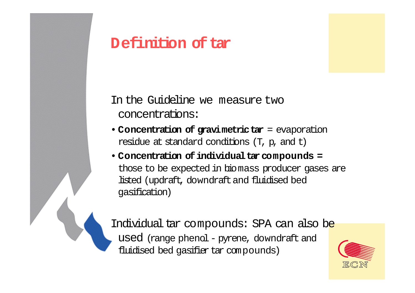## **Definition of tar**

In the Guideline we measure two concentrations:

- **Concentration of gravimetrictar** = evaporation residue at standard conditions (T, p, and t)
- Concentration of individual tar compounds = those to be expected in biomass producer gases are listed (updraft, downdraft and fluidised bed gasification)

Individual tar compounds: SPA can also be used (range phenol - pyrene, downdraft and fluidised bed gasifier tar compounds)

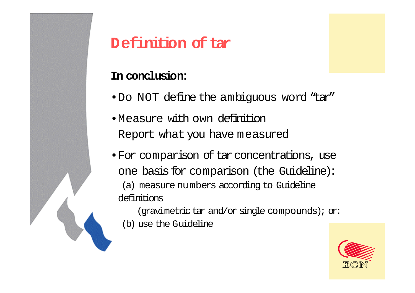## **Definition of tar**

### **In conclusion:**

- •Do NOT define the ambiguous word "tar"
- •Measure with own definitionReport what you have measured
- •For comparison of tar concentrations, use one basis for comparison (the Guideline): (a) measure numbers according to Guideline definitions

(gravimetric tar and/or single compounds); or: (b) use the Guideline

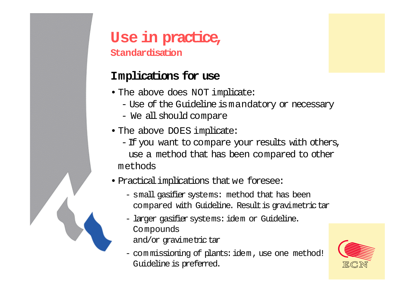

## **Use in practice,**

**Standardisation**

### **Implications for use**

- The above does NOT implicate:
	- Use of the Guideline ismandatory or necessary
	- We all should compare
- The above DOES implicate:
	- -If you want to compare your results with others, use a method that has been compared to other methods
- Practicalimplications that we foresee:
	- small gasifier systems: method that has been compared with Guideline. Result is gravimetrictar
	- larger gasifiersystems: idem or Guideline. Compounds
		- and/or gravimetrictar
	- com missioning of plants: idem, use one method! Guideline is preferred.

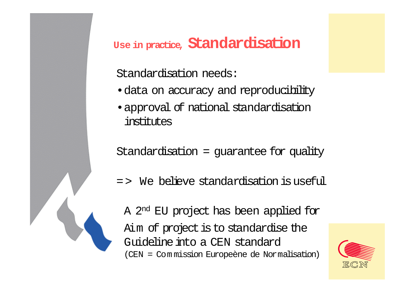### **Use in practice, Standardisation**

Standardisation needs:

- •data on accuracy and reproducibility
- •approval of national standardisation institutes

Standardisation = guarantee for quality

= > We believe standardisation is useful

A 2nd EU project has been applied for Aim of project is to standardise the Guideline into a CEN standard(CEN = Com mission Europeène de Normalisation)

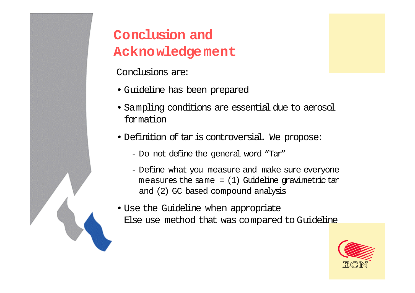## **Conclusion and Acknowledgement**

Conclusions are:

- Guideline has been prepared
- Sampling conditions are essential due to aerosol formation
- Definition of tar is controversial. We propose:
	- Do not define the general word "Tar"
	- Define what you measure and make sure everyone measures the same  $= (1)$  Guideline gravimetrictar and (2) GC based compound analysis
- Use the Guideline when appropriate Else use method that was compared to Guideline